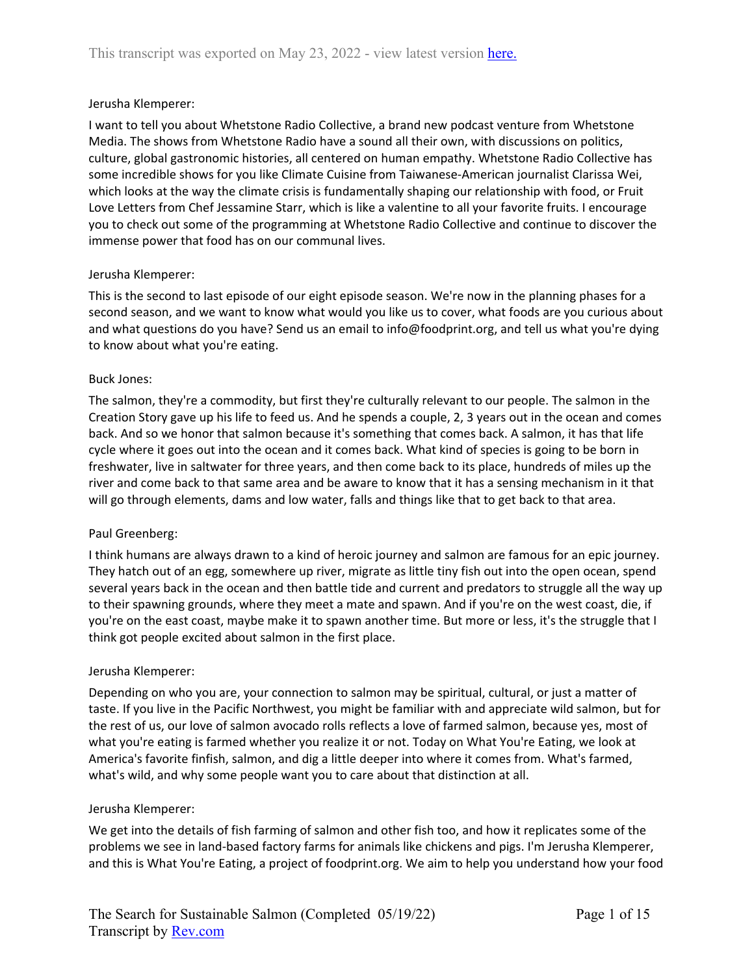### Jerusha Klemperer:

I want to tell you about Whetstone Radio Collective, a brand new podcast venture from Whetstone Media. The shows from Whetstone Radio have a sound all their own, with discussions on politics, culture, global gastronomic histories, all centered on human empathy. Whetstone Radio Collective has some incredible shows for you like Climate Cuisine from Taiwanese-American journalist Clarissa Wei, which looks at the way the climate crisis is fundamentally shaping our relationship with food, or Fruit Love Letters from Chef Jessamine Starr, which is like a valentine to all your favorite fruits. I encourage you to check out some of the programming at Whetstone Radio Collective and continue to discover the immense power that food has on our communal lives.

### Jerusha Klemperer:

This is the second to last episode of our eight episode season. We're now in the planning phases for a second season, and we want to know what would you like us to cover, what foods are you curious about and what questions do you have? Send us an email to info@foodprint.org, and tell us what you're dying to know about what you're eating.

### Buck Jones:

The salmon, they're a commodity, but first they're culturally relevant to our people. The salmon in the Creation Story gave up his life to feed us. And he spends a couple, 2, 3 years out in the ocean and comes back. And so we honor that salmon because it's something that comes back. A salmon, it has that life cycle where it goes out into the ocean and it comes back. What kind of species is going to be born in freshwater, live in saltwater for three years, and then come back to its place, hundreds of miles up the river and come back to that same area and be aware to know that it has a sensing mechanism in it that will go through elements, dams and low water, falls and things like that to get back to that area.

### Paul Greenberg:

I think humans are always drawn to a kind of heroic journey and salmon are famous for an epic journey. They hatch out of an egg, somewhere up river, migrate as little tiny fish out into the open ocean, spend several years back in the ocean and then battle tide and current and predators to struggle all the way up to their spawning grounds, where they meet a mate and spawn. And if you're on the west coast, die, if you're on the east coast, maybe make it to spawn another time. But more or less, it's the struggle that I think got people excited about salmon in the first place.

### Jerusha Klemperer:

Depending on who you are, your connection to salmon may be spiritual, cultural, or just a matter of taste. If you live in the Pacific Northwest, you might be familiar with and appreciate wild salmon, but for the rest of us, our love of salmon avocado rolls reflects a love of farmed salmon, because yes, most of what you're eating is farmed whether you realize it or not. Today on What You're Eating, we look at America's favorite finfish, salmon, and dig a little deeper into where it comes from. What's farmed, what's wild, and why some people want you to care about that distinction at all.

### Jerusha Klemperer:

We get into the details of fish farming of salmon and other fish too, and how it replicates some of the problems we see in land-based factory farms for animals like chickens and pigs. I'm Jerusha Klemperer, and this is What You're Eating, a project of foodprint.org. We aim to help you understand how your food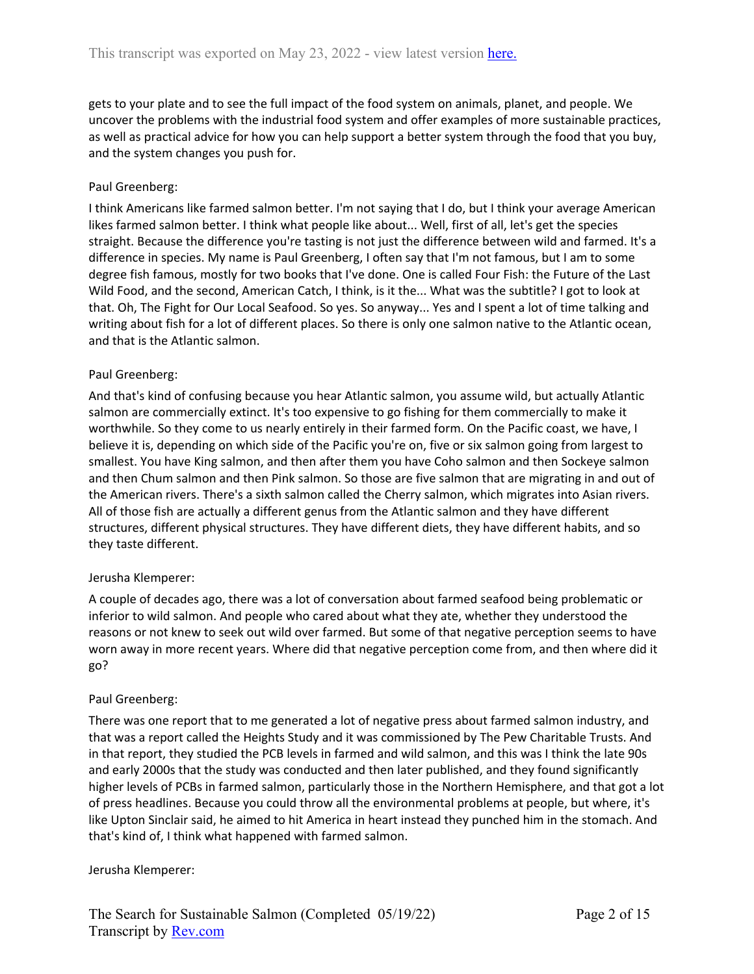gets to your plate and to see the full impact of the food system on animals, planet, and people. We uncover the problems with the industrial food system and offer examples of more sustainable practices, as well as practical advice for how you can help support a better system through the food that you buy, and the system changes you push for.

### Paul Greenberg:

I think Americans like farmed salmon better. I'm not saying that I do, but I think your average American likes farmed salmon better. I think what people like about... Well, first of all, let's get the species straight. Because the difference you're tasting is not just the difference between wild and farmed. It's a difference in species. My name is Paul Greenberg, I often say that I'm not famous, but I am to some degree fish famous, mostly for two books that I've done. One is called Four Fish: the Future of the Last Wild Food, and the second, American Catch, I think, is it the... What was the subtitle? I got to look at that. Oh, The Fight for Our Local Seafood. So yes. So anyway... Yes and I spent a lot of time talking and writing about fish for a lot of different places. So there is only one salmon native to the Atlantic ocean, and that is the Atlantic salmon.

### Paul Greenberg:

And that's kind of confusing because you hear Atlantic salmon, you assume wild, but actually Atlantic salmon are commercially extinct. It's too expensive to go fishing for them commercially to make it worthwhile. So they come to us nearly entirely in their farmed form. On the Pacific coast, we have, I believe it is, depending on which side of the Pacific you're on, five or six salmon going from largest to smallest. You have King salmon, and then after them you have Coho salmon and then Sockeye salmon and then Chum salmon and then Pink salmon. So those are five salmon that are migrating in and out of the American rivers. There's a sixth salmon called the Cherry salmon, which migrates into Asian rivers. All of those fish are actually a different genus from the Atlantic salmon and they have different structures, different physical structures. They have different diets, they have different habits, and so they taste different.

### Jerusha Klemperer:

A couple of decades ago, there was a lot of conversation about farmed seafood being problematic or inferior to wild salmon. And people who cared about what they ate, whether they understood the reasons or not knew to seek out wild over farmed. But some of that negative perception seems to have worn away in more recent years. Where did that negative perception come from, and then where did it go?

### Paul Greenberg:

There was one report that to me generated a lot of negative press about farmed salmon industry, and that was a report called the Heights Study and it was commissioned by The Pew Charitable Trusts. And in that report, they studied the PCB levels in farmed and wild salmon, and this was I think the late 90s and early 2000s that the study was conducted and then later published, and they found significantly higher levels of PCBs in farmed salmon, particularly those in the Northern Hemisphere, and that got a lot of press headlines. Because you could throw all the environmental problems at people, but where, it's like Upton Sinclair said, he aimed to hit America in heart instead they punched him in the stomach. And that's kind of, I think what happened with farmed salmon.

### Jerusha Klemperer: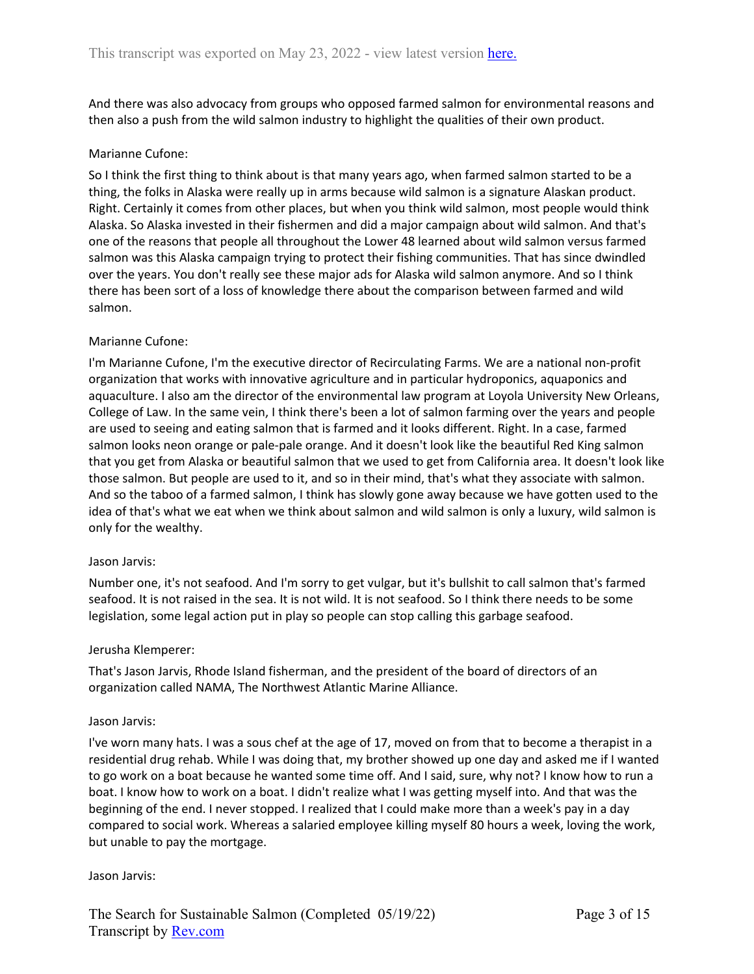And there was also advocacy from groups who opposed farmed salmon for environmental reasons and then also a push from the wild salmon industry to highlight the qualities of their own product.

### Marianne Cufone:

So I think the first thing to think about is that many years ago, when farmed salmon started to be a thing, the folks in Alaska were really up in arms because wild salmon is a signature Alaskan product. Right. Certainly it comes from other places, but when you think wild salmon, most people would think Alaska. So Alaska invested in their fishermen and did a major campaign about wild salmon. And that's one of the reasons that people all throughout the Lower 48 learned about wild salmon versus farmed salmon was this Alaska campaign trying to protect their fishing communities. That has since dwindled over the years. You don't really see these major ads for Alaska wild salmon anymore. And so I think there has been sort of a loss of knowledge there about the comparison between farmed and wild salmon.

# Marianne Cufone:

I'm Marianne Cufone, I'm the executive director of Recirculating Farms. We are a national non-profit organization that works with innovative agriculture and in particular hydroponics, aquaponics and aquaculture. I also am the director of the environmental law program at Loyola University New Orleans, College of Law. In the same vein, I think there's been a lot of salmon farming over the years and people are used to seeing and eating salmon that is farmed and it looks different. Right. In a case, farmed salmon looks neon orange or pale-pale orange. And it doesn't look like the beautiful Red King salmon that you get from Alaska or beautiful salmon that we used to get from California area. It doesn't look like those salmon. But people are used to it, and so in their mind, that's what they associate with salmon. And so the taboo of a farmed salmon, I think has slowly gone away because we have gotten used to the idea of that's what we eat when we think about salmon and wild salmon is only a luxury, wild salmon is only for the wealthy.

### Jason Jarvis:

Number one, it's not seafood. And I'm sorry to get vulgar, but it's bullshit to call salmon that's farmed seafood. It is not raised in the sea. It is not wild. It is not seafood. So I think there needs to be some legislation, some legal action put in play so people can stop calling this garbage seafood.

### Jerusha Klemperer:

That's Jason Jarvis, Rhode Island fisherman, and the president of the board of directors of an organization called NAMA, The Northwest Atlantic Marine Alliance.

### Jason Jarvis:

I've worn many hats. I was a sous chef at the age of 17, moved on from that to become a therapist in a residential drug rehab. While I was doing that, my brother showed up one day and asked me if I wanted to go work on a boat because he wanted some time off. And I said, sure, why not? I know how to run a boat. I know how to work on a boat. I didn't realize what I was getting myself into. And that was the beginning of the end. I never stopped. I realized that I could make more than a week's pay in a day compared to social work. Whereas a salaried employee killing myself 80 hours a week, loving the work, but unable to pay the mortgage.

### Jason Jarvis: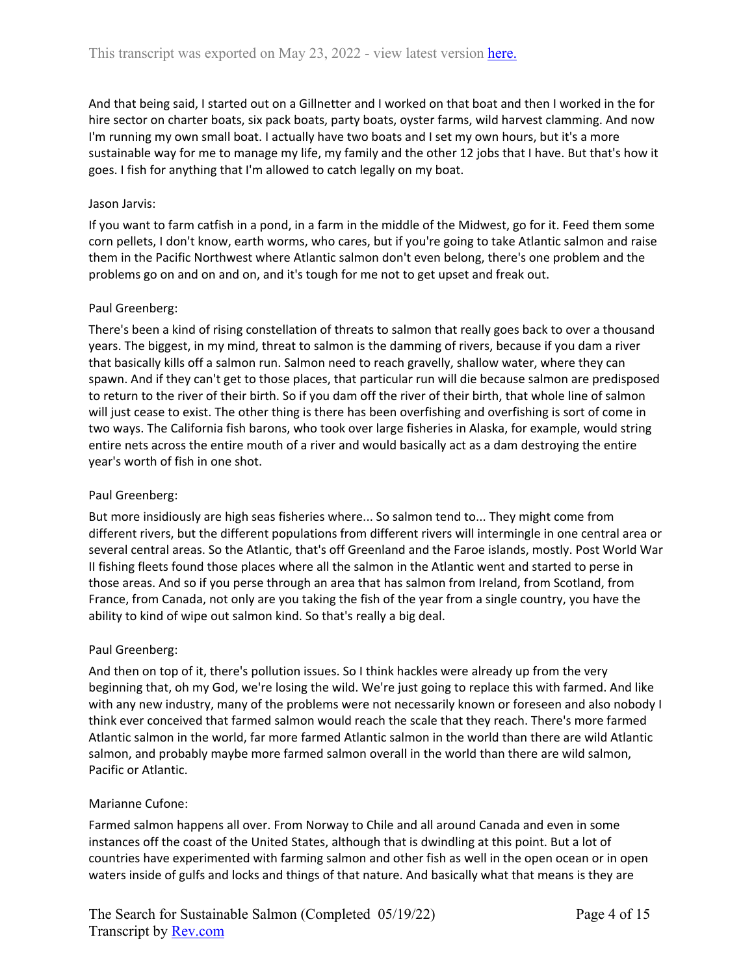And that being said, I started out on a Gillnetter and I worked on that boat and then I worked in the for hire sector on charter boats, six pack boats, party boats, oyster farms, wild harvest clamming. And now I'm running my own small boat. I actually have two boats and I set my own hours, but it's a more sustainable way for me to manage my life, my family and the other 12 jobs that I have. But that's how it goes. I fish for anything that I'm allowed to catch legally on my boat.

# Jason Jarvis:

If you want to farm catfish in a pond, in a farm in the middle of the Midwest, go for it. Feed them some corn pellets, I don't know, earth worms, who cares, but if you're going to take Atlantic salmon and raise them in the Pacific Northwest where Atlantic salmon don't even belong, there's one problem and the problems go on and on and on, and it's tough for me not to get upset and freak out.

# Paul Greenberg:

There's been a kind of rising constellation of threats to salmon that really goes back to over a thousand years. The biggest, in my mind, threat to salmon is the damming of rivers, because if you dam a river that basically kills off a salmon run. Salmon need to reach gravelly, shallow water, where they can spawn. And if they can't get to those places, that particular run will die because salmon are predisposed to return to the river of their birth. So if you dam off the river of their birth, that whole line of salmon will just cease to exist. The other thing is there has been overfishing and overfishing is sort of come in two ways. The California fish barons, who took over large fisheries in Alaska, for example, would string entire nets across the entire mouth of a river and would basically act as a dam destroying the entire year's worth of fish in one shot.

# Paul Greenberg:

But more insidiously are high seas fisheries where... So salmon tend to... They might come from different rivers, but the different populations from different rivers will intermingle in one central area or several central areas. So the Atlantic, that's off Greenland and the Faroe islands, mostly. Post World War II fishing fleets found those places where all the salmon in the Atlantic went and started to perse in those areas. And so if you perse through an area that has salmon from Ireland, from Scotland, from France, from Canada, not only are you taking the fish of the year from a single country, you have the ability to kind of wipe out salmon kind. So that's really a big deal.

### Paul Greenberg:

And then on top of it, there's pollution issues. So I think hackles were already up from the very beginning that, oh my God, we're losing the wild. We're just going to replace this with farmed. And like with any new industry, many of the problems were not necessarily known or foreseen and also nobody I think ever conceived that farmed salmon would reach the scale that they reach. There's more farmed Atlantic salmon in the world, far more farmed Atlantic salmon in the world than there are wild Atlantic salmon, and probably maybe more farmed salmon overall in the world than there are wild salmon, Pacific or Atlantic.

### Marianne Cufone:

Farmed salmon happens all over. From Norway to Chile and all around Canada and even in some instances off the coast of the United States, although that is dwindling at this point. But a lot of countries have experimented with farming salmon and other fish as well in the open ocean or in open waters inside of gulfs and locks and things of that nature. And basically what that means is they are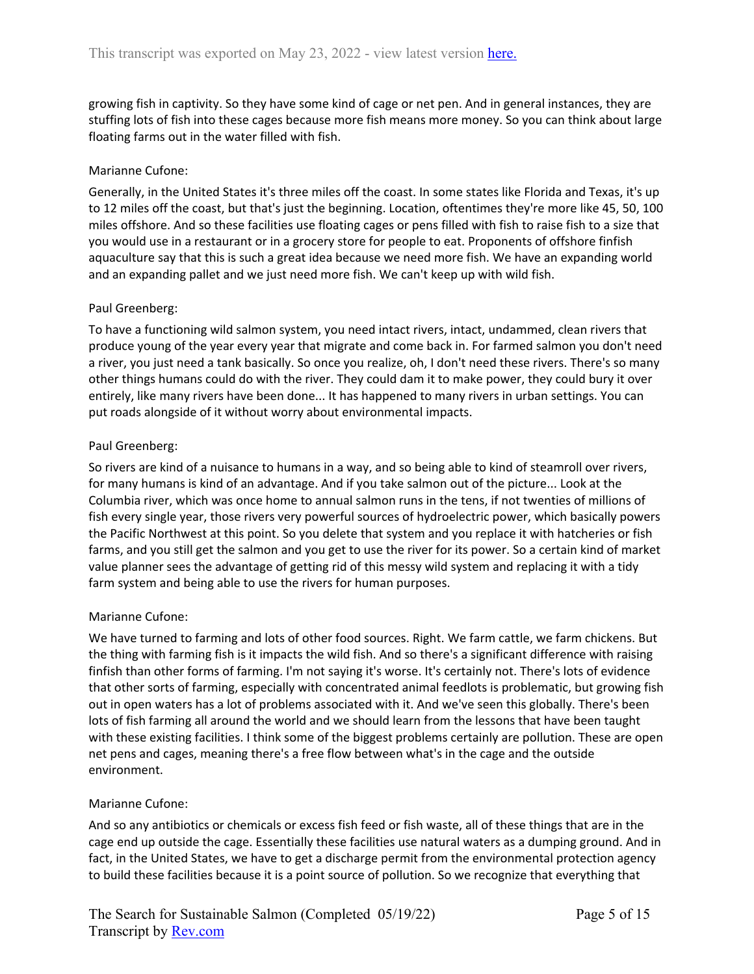growing fish in captivity. So they have some kind of cage or net pen. And in general instances, they are stuffing lots of fish into these cages because more fish means more money. So you can think about large floating farms out in the water filled with fish.

### Marianne Cufone:

Generally, in the United States it's three miles off the coast. In some states like Florida and Texas, it's up to 12 miles off the coast, but that's just the beginning. Location, oftentimes they're more like 45, 50, 100 miles offshore. And so these facilities use floating cages or pens filled with fish to raise fish to a size that you would use in a restaurant or in a grocery store for people to eat. Proponents of offshore finfish aquaculture say that this is such a great idea because we need more fish. We have an expanding world and an expanding pallet and we just need more fish. We can't keep up with wild fish.

# Paul Greenberg:

To have a functioning wild salmon system, you need intact rivers, intact, undammed, clean rivers that produce young of the year every year that migrate and come back in. For farmed salmon you don't need a river, you just need a tank basically. So once you realize, oh, I don't need these rivers. There's so many other things humans could do with the river. They could dam it to make power, they could bury it over entirely, like many rivers have been done... It has happened to many rivers in urban settings. You can put roads alongside of it without worry about environmental impacts.

### Paul Greenberg:

So rivers are kind of a nuisance to humans in a way, and so being able to kind of steamroll over rivers, for many humans is kind of an advantage. And if you take salmon out of the picture... Look at the Columbia river, which was once home to annual salmon runs in the tens, if not twenties of millions of fish every single year, those rivers very powerful sources of hydroelectric power, which basically powers the Pacific Northwest at this point. So you delete that system and you replace it with hatcheries or fish farms, and you still get the salmon and you get to use the river for its power. So a certain kind of market value planner sees the advantage of getting rid of this messy wild system and replacing it with a tidy farm system and being able to use the rivers for human purposes.

### Marianne Cufone:

We have turned to farming and lots of other food sources. Right. We farm cattle, we farm chickens. But the thing with farming fish is it impacts the wild fish. And so there's a significant difference with raising finfish than other forms of farming. I'm not saying it's worse. It's certainly not. There's lots of evidence that other sorts of farming, especially with concentrated animal feedlots is problematic, but growing fish out in open waters has a lot of problems associated with it. And we've seen this globally. There's been lots of fish farming all around the world and we should learn from the lessons that have been taught with these existing facilities. I think some of the biggest problems certainly are pollution. These are open net pens and cages, meaning there's a free flow between what's in the cage and the outside environment.

### Marianne Cufone:

And so any antibiotics or chemicals or excess fish feed or fish waste, all of these things that are in the cage end up outside the cage. Essentially these facilities use natural waters as a dumping ground. And in fact, in the United States, we have to get a discharge permit from the environmental protection agency to build these facilities because it is a point source of pollution. So we recognize that everything that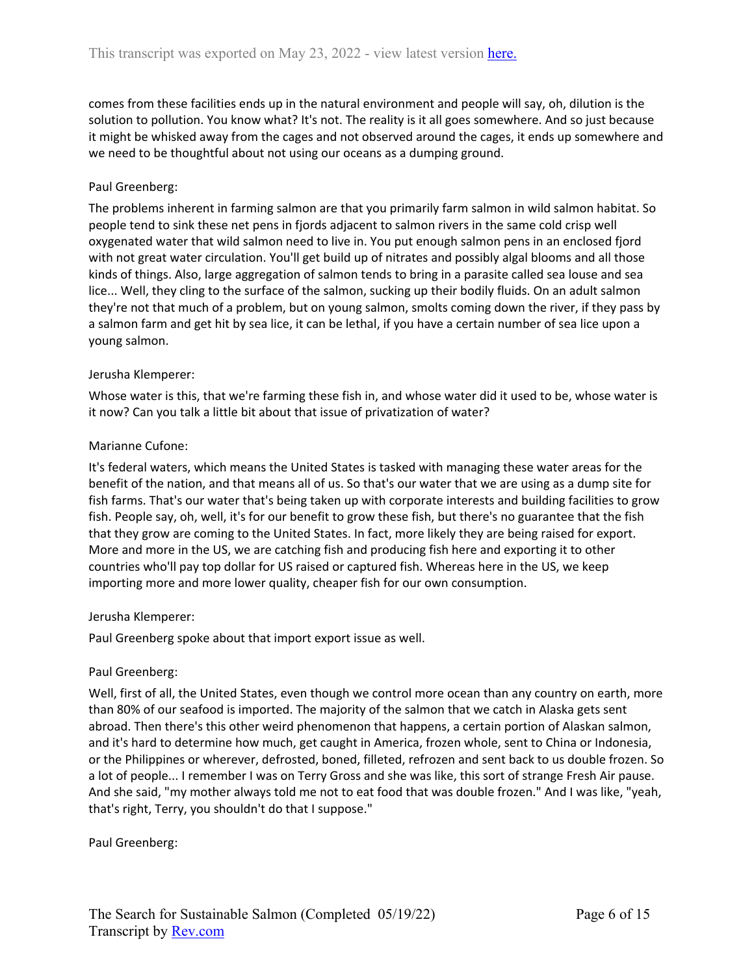comes from these facilities ends up in the natural environment and people will say, oh, dilution is the solution to pollution. You know what? It's not. The reality is it all goes somewhere. And so just because it might be whisked away from the cages and not observed around the cages, it ends up somewhere and we need to be thoughtful about not using our oceans as a dumping ground.

# Paul Greenberg:

The problems inherent in farming salmon are that you primarily farm salmon in wild salmon habitat. So people tend to sink these net pens in fjords adjacent to salmon rivers in the same cold crisp well oxygenated water that wild salmon need to live in. You put enough salmon pens in an enclosed fjord with not great water circulation. You'll get build up of nitrates and possibly algal blooms and all those kinds of things. Also, large aggregation of salmon tends to bring in a parasite called sea louse and sea lice... Well, they cling to the surface of the salmon, sucking up their bodily fluids. On an adult salmon they're not that much of a problem, but on young salmon, smolts coming down the river, if they pass by a salmon farm and get hit by sea lice, it can be lethal, if you have a certain number of sea lice upon a young salmon.

### Jerusha Klemperer:

Whose water is this, that we're farming these fish in, and whose water did it used to be, whose water is it now? Can you talk a little bit about that issue of privatization of water?

# Marianne Cufone:

It's federal waters, which means the United States is tasked with managing these water areas for the benefit of the nation, and that means all of us. So that's our water that we are using as a dump site for fish farms. That's our water that's being taken up with corporate interests and building facilities to grow fish. People say, oh, well, it's for our benefit to grow these fish, but there's no guarantee that the fish that they grow are coming to the United States. In fact, more likely they are being raised for export. More and more in the US, we are catching fish and producing fish here and exporting it to other countries who'll pay top dollar for US raised or captured fish. Whereas here in the US, we keep importing more and more lower quality, cheaper fish for our own consumption.

### Jerusha Klemperer:

Paul Greenberg spoke about that import export issue as well.

### Paul Greenberg:

Well, first of all, the United States, even though we control more ocean than any country on earth, more than 80% of our seafood is imported. The majority of the salmon that we catch in Alaska gets sent abroad. Then there's this other weird phenomenon that happens, a certain portion of Alaskan salmon, and it's hard to determine how much, get caught in America, frozen whole, sent to China or Indonesia, or the Philippines or wherever, defrosted, boned, filleted, refrozen and sent back to us double frozen. So a lot of people... I remember I was on Terry Gross and she was like, this sort of strange Fresh Air pause. And she said, "my mother always told me not to eat food that was double frozen." And I was like, "yeah, that's right, Terry, you shouldn't do that I suppose."

Paul Greenberg: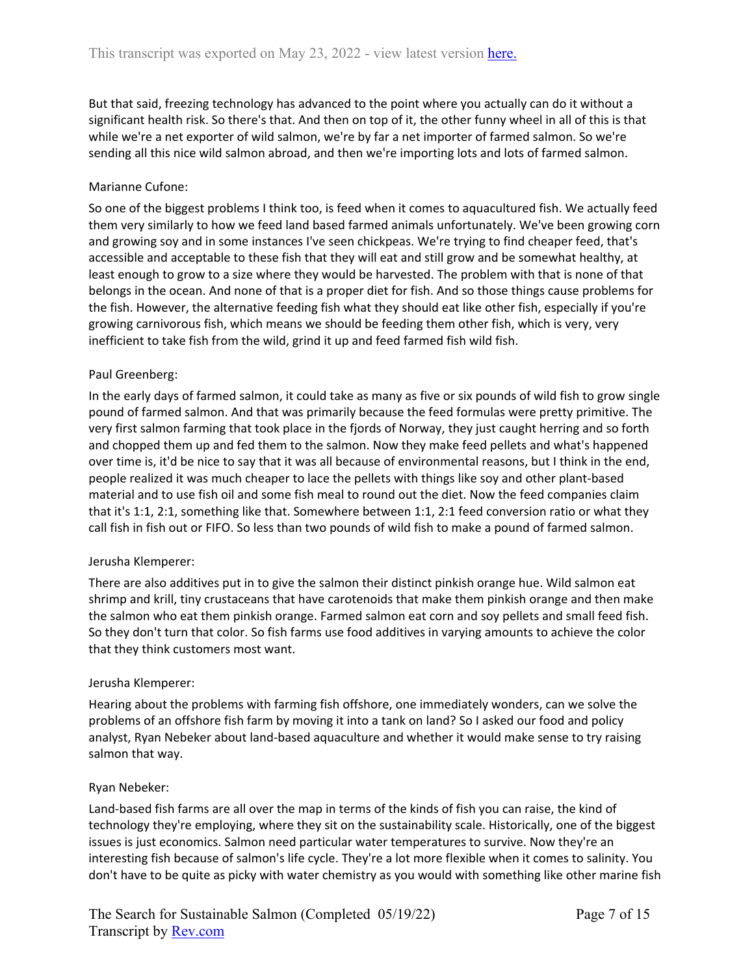But that said, freezing technology has advanced to the point where you actually can do it without a significant health risk. So there's that. And then on top of it, the other funny wheel in all of this is that while we're a net exporter of wild salmon, we're by far a net importer of farmed salmon. So we're sending all this nice wild salmon abroad, and then we're importing lots and lots of farmed salmon.

# Marianne Cufone:

So one of the biggest problems I think too, is feed when it comes to aquacultured fish. We actually feed them very similarly to how we feed land based farmed animals unfortunately. We've been growing corn and growing soy and in some instances I've seen chickpeas. We're trying to find cheaper feed, that's accessible and acceptable to these fish that they will eat and still grow and be somewhat healthy, at least enough to grow to a size where they would be harvested. The problem with that is none of that belongs in the ocean. And none of that is a proper diet for fish. And so those things cause problems for the fish. However, the alternative feeding fish what they should eat like other fish, especially if you're growing carnivorous fish, which means we should be feeding them other fish, which is very, very inefficient to take fish from the wild, grind it up and feed farmed fish wild fish.

# Paul Greenberg:

In the early days of farmed salmon, it could take as many as five or six pounds of wild fish to grow single pound of farmed salmon. And that was primarily because the feed formulas were pretty primitive. The very first salmon farming that took place in the fjords of Norway, they just caught herring and so forth and chopped them up and fed them to the salmon. Now they make feed pellets and what's happened over time is, it'd be nice to say that it was all because of environmental reasons, but I think in the end, people realized it was much cheaper to lace the pellets with things like soy and other plant-based material and to use fish oil and some fish meal to round out the diet. Now the feed companies claim that it's 1:1, 2:1, something like that. Somewhere between 1:1, 2:1 feed conversion ratio or what they call fish in fish out or FIFO. So less than two pounds of wild fish to make a pound of farmed salmon.

### Jerusha Klemperer:

There are also additives put in to give the salmon their distinct pinkish orange hue. Wild salmon eat shrimp and krill, tiny crustaceans that have carotenoids that make them pinkish orange and then make the salmon who eat them pinkish orange. Farmed salmon eat corn and soy pellets and small feed fish. So they don't turn that color. So fish farms use food additives in varying amounts to achieve the color that they think customers most want.

### Jerusha Klemperer:

Hearing about the problems with farming fish offshore, one immediately wonders, can we solve the problems of an offshore fish farm by moving it into a tank on land? So I asked our food and policy analyst, Ryan Nebeker about land-based aquaculture and whether it would make sense to try raising salmon that way.

### Ryan Nebeker:

Land-based fish farms are all over the map in terms of the kinds of fish you can raise, the kind of technology they're employing, where they sit on the sustainability scale. Historically, one of the biggest issues is just economics. Salmon need particular water temperatures to survive. Now they're an interesting fish because of salmon's life cycle. They're a lot more flexible when it comes to salinity. You don't have to be quite as picky with water chemistry as you would with something like other marine fish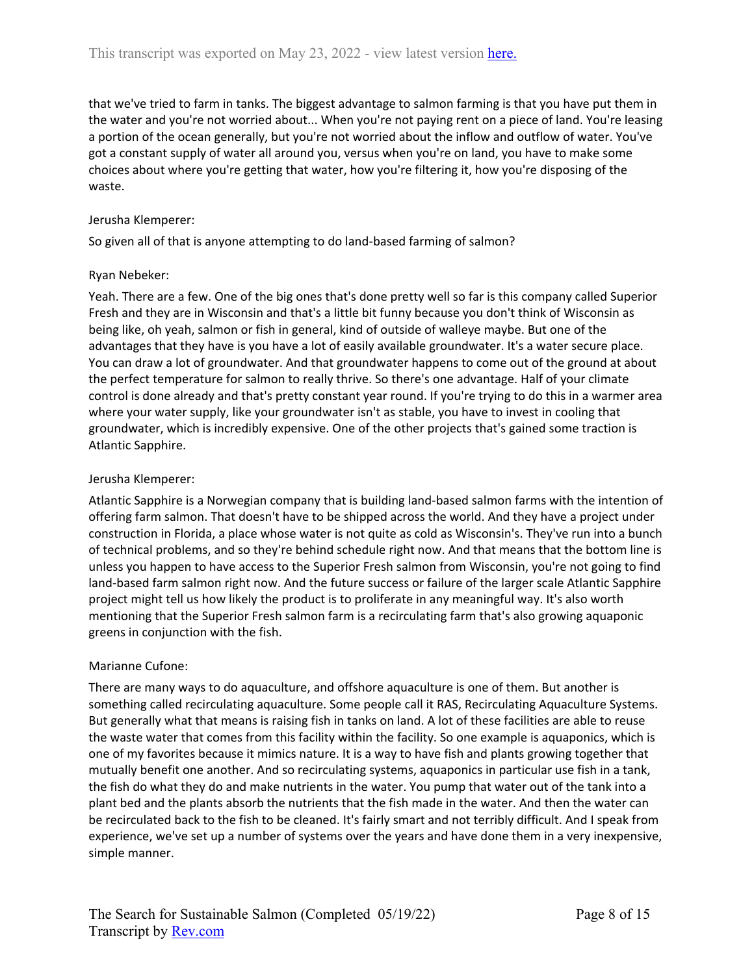that we've tried to farm in tanks. The biggest advantage to salmon farming is that you have put them in the water and you're not worried about... When you're not paying rent on a piece of land. You're leasing a portion of the ocean generally, but you're not worried about the inflow and outflow of water. You've got a constant supply of water all around you, versus when you're on land, you have to make some choices about where you're getting that water, how you're filtering it, how you're disposing of the waste.

# Jerusha Klemperer:

So given all of that is anyone attempting to do land-based farming of salmon?

# Ryan Nebeker:

Yeah. There are a few. One of the big ones that's done pretty well so far is this company called Superior Fresh and they are in Wisconsin and that's a little bit funny because you don't think of Wisconsin as being like, oh yeah, salmon or fish in general, kind of outside of walleye maybe. But one of the advantages that they have is you have a lot of easily available groundwater. It's a water secure place. You can draw a lot of groundwater. And that groundwater happens to come out of the ground at about the perfect temperature for salmon to really thrive. So there's one advantage. Half of your climate control is done already and that's pretty constant year round. If you're trying to do this in a warmer area where your water supply, like your groundwater isn't as stable, you have to invest in cooling that groundwater, which is incredibly expensive. One of the other projects that's gained some traction is Atlantic Sapphire.

# Jerusha Klemperer:

Atlantic Sapphire is a Norwegian company that is building land-based salmon farms with the intention of offering farm salmon. That doesn't have to be shipped across the world. And they have a project under construction in Florida, a place whose water is not quite as cold as Wisconsin's. They've run into a bunch of technical problems, and so they're behind schedule right now. And that means that the bottom line is unless you happen to have access to the Superior Fresh salmon from Wisconsin, you're not going to find land-based farm salmon right now. And the future success or failure of the larger scale Atlantic Sapphire project might tell us how likely the product is to proliferate in any meaningful way. It's also worth mentioning that the Superior Fresh salmon farm is a recirculating farm that's also growing aquaponic greens in conjunction with the fish.

# Marianne Cufone:

There are many ways to do aquaculture, and offshore aquaculture is one of them. But another is something called recirculating aquaculture. Some people call it RAS, Recirculating Aquaculture Systems. But generally what that means is raising fish in tanks on land. A lot of these facilities are able to reuse the waste water that comes from this facility within the facility. So one example is aquaponics, which is one of my favorites because it mimics nature. It is a way to have fish and plants growing together that mutually benefit one another. And so recirculating systems, aquaponics in particular use fish in a tank, the fish do what they do and make nutrients in the water. You pump that water out of the tank into a plant bed and the plants absorb the nutrients that the fish made in the water. And then the water can be recirculated back to the fish to be cleaned. It's fairly smart and not terribly difficult. And I speak from experience, we've set up a number of systems over the years and have done them in a very inexpensive, simple manner.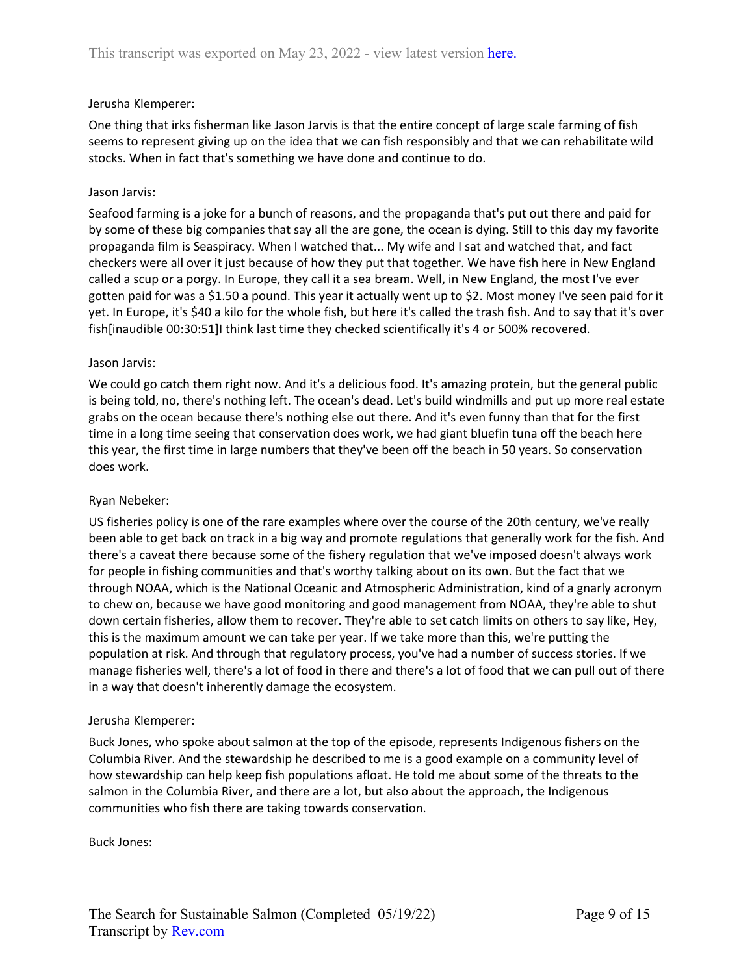# Jerusha Klemperer:

One thing that irks fisherman like Jason Jarvis is that the entire concept of large scale farming of fish seems to represent giving up on the idea that we can fish responsibly and that we can rehabilitate wild stocks. When in fact that's something we have done and continue to do.

# Jason Jarvis:

Seafood farming is a joke for a bunch of reasons, and the propaganda that's put out there and paid for by some of these big companies that say all the are gone, the ocean is dying. Still to this day my favorite propaganda film is Seaspiracy. When I watched that... My wife and I sat and watched that, and fact checkers were all over it just because of how they put that together. We have fish here in New England called a scup or a porgy. In Europe, they call it a sea bream. Well, in New England, the most I've ever gotten paid for was a \$1.50 a pound. This year it actually went up to \$2. Most money I've seen paid for it yet. In Europe, it's \$40 a kilo for the whole fish, but here it's called the trash fish. And to say that it's over fish[inaudible 00:30:51]I think last time they checked scientifically it's 4 or 500% recovered.

# Jason Jarvis:

We could go catch them right now. And it's a delicious food. It's amazing protein, but the general public is being told, no, there's nothing left. The ocean's dead. Let's build windmills and put up more real estate grabs on the ocean because there's nothing else out there. And it's even funny than that for the first time in a long time seeing that conservation does work, we had giant bluefin tuna off the beach here this year, the first time in large numbers that they've been off the beach in 50 years. So conservation does work.

# Ryan Nebeker:

US fisheries policy is one of the rare examples where over the course of the 20th century, we've really been able to get back on track in a big way and promote regulations that generally work for the fish. And there's a caveat there because some of the fishery regulation that we've imposed doesn't always work for people in fishing communities and that's worthy talking about on its own. But the fact that we through NOAA, which is the National Oceanic and Atmospheric Administration, kind of a gnarly acronym to chew on, because we have good monitoring and good management from NOAA, they're able to shut down certain fisheries, allow them to recover. They're able to set catch limits on others to say like, Hey, this is the maximum amount we can take per year. If we take more than this, we're putting the population at risk. And through that regulatory process, you've had a number of success stories. If we manage fisheries well, there's a lot of food in there and there's a lot of food that we can pull out of there in a way that doesn't inherently damage the ecosystem.

### Jerusha Klemperer:

Buck Jones, who spoke about salmon at the top of the episode, represents Indigenous fishers on the Columbia River. And the stewardship he described to me is a good example on a community level of how stewardship can help keep fish populations afloat. He told me about some of the threats to the salmon in the Columbia River, and there are a lot, but also about the approach, the Indigenous communities who fish there are taking towards conservation.

Buck Jones: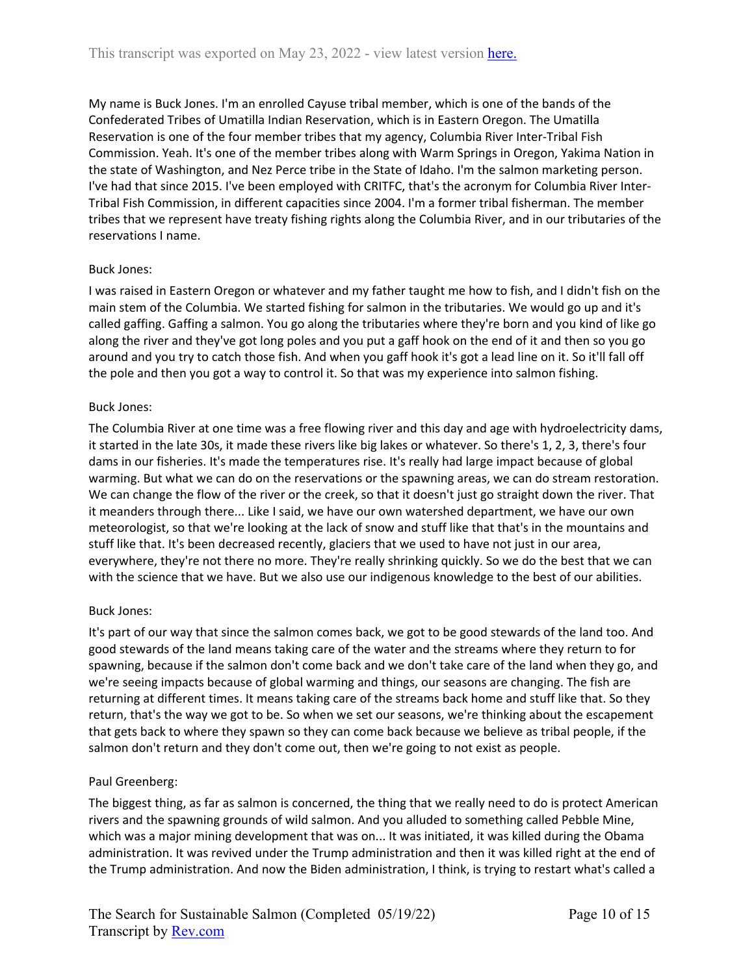My name is Buck Jones. I'm an enrolled Cayuse tribal member, which is one of the bands of the Confederated Tribes of Umatilla Indian Reservation, which is in Eastern Oregon. The Umatilla Reservation is one of the four member tribes that my agency, Columbia River Inter-Tribal Fish Commission. Yeah. It's one of the member tribes along with Warm Springs in Oregon, Yakima Nation in the state of Washington, and Nez Perce tribe in the State of Idaho. I'm the salmon marketing person. I've had that since 2015. I've been employed with CRITFC, that's the acronym for Columbia River Inter-Tribal Fish Commission, in different capacities since 2004. I'm a former tribal fisherman. The member tribes that we represent have treaty fishing rights along the Columbia River, and in our tributaries of the reservations I name.

### Buck Jones:

I was raised in Eastern Oregon or whatever and my father taught me how to fish, and I didn't fish on the main stem of the Columbia. We started fishing for salmon in the tributaries. We would go up and it's called gaffing. Gaffing a salmon. You go along the tributaries where they're born and you kind of like go along the river and they've got long poles and you put a gaff hook on the end of it and then so you go around and you try to catch those fish. And when you gaff hook it's got a lead line on it. So it'll fall off the pole and then you got a way to control it. So that was my experience into salmon fishing.

### Buck Jones:

The Columbia River at one time was a free flowing river and this day and age with hydroelectricity dams, it started in the late 30s, it made these rivers like big lakes or whatever. So there's 1, 2, 3, there's four dams in our fisheries. It's made the temperatures rise. It's really had large impact because of global warming. But what we can do on the reservations or the spawning areas, we can do stream restoration. We can change the flow of the river or the creek, so that it doesn't just go straight down the river. That it meanders through there... Like I said, we have our own watershed department, we have our own meteorologist, so that we're looking at the lack of snow and stuff like that that's in the mountains and stuff like that. It's been decreased recently, glaciers that we used to have not just in our area, everywhere, they're not there no more. They're really shrinking quickly. So we do the best that we can with the science that we have. But we also use our indigenous knowledge to the best of our abilities.

### Buck Jones:

It's part of our way that since the salmon comes back, we got to be good stewards of the land too. And good stewards of the land means taking care of the water and the streams where they return to for spawning, because if the salmon don't come back and we don't take care of the land when they go, and we're seeing impacts because of global warming and things, our seasons are changing. The fish are returning at different times. It means taking care of the streams back home and stuff like that. So they return, that's the way we got to be. So when we set our seasons, we're thinking about the escapement that gets back to where they spawn so they can come back because we believe as tribal people, if the salmon don't return and they don't come out, then we're going to not exist as people.

### Paul Greenberg:

The biggest thing, as far as salmon is concerned, the thing that we really need to do is protect American rivers and the spawning grounds of wild salmon. And you alluded to something called Pebble Mine, which was a major mining development that was on... It was initiated, it was killed during the Obama administration. It was revived under the Trump administration and then it was killed right at the end of the Trump administration. And now the Biden administration, I think, is trying to restart what's called a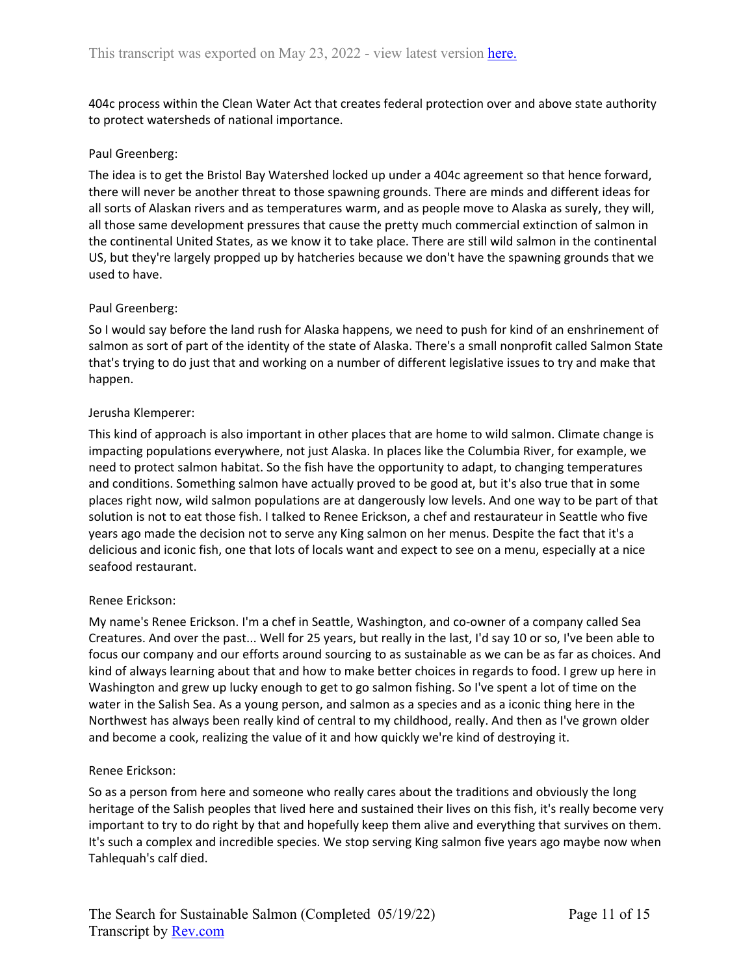404c process within the Clean Water Act that creates federal protection over and above state authority to protect watersheds of national importance.

### Paul Greenberg:

The idea is to get the Bristol Bay Watershed locked up under a 404c agreement so that hence forward, there will never be another threat to those spawning grounds. There are minds and different ideas for all sorts of Alaskan rivers and as temperatures warm, and as people move to Alaska as surely, they will, all those same development pressures that cause the pretty much commercial extinction of salmon in the continental United States, as we know it to take place. There are still wild salmon in the continental US, but they're largely propped up by hatcheries because we don't have the spawning grounds that we used to have.

#### Paul Greenberg:

So I would say before the land rush for Alaska happens, we need to push for kind of an enshrinement of salmon as sort of part of the identity of the state of Alaska. There's a small nonprofit called Salmon State that's trying to do just that and working on a number of different legislative issues to try and make that happen.

#### Jerusha Klemperer:

This kind of approach is also important in other places that are home to wild salmon. Climate change is impacting populations everywhere, not just Alaska. In places like the Columbia River, for example, we need to protect salmon habitat. So the fish have the opportunity to adapt, to changing temperatures and conditions. Something salmon have actually proved to be good at, but it's also true that in some places right now, wild salmon populations are at dangerously low levels. And one way to be part of that solution is not to eat those fish. I talked to Renee Erickson, a chef and restaurateur in Seattle who five years ago made the decision not to serve any King salmon on her menus. Despite the fact that it's a delicious and iconic fish, one that lots of locals want and expect to see on a menu, especially at a nice seafood restaurant.

#### Renee Erickson:

My name's Renee Erickson. I'm a chef in Seattle, Washington, and co-owner of a company called Sea Creatures. And over the past... Well for 25 years, but really in the last, I'd say 10 or so, I've been able to focus our company and our efforts around sourcing to as sustainable as we can be as far as choices. And kind of always learning about that and how to make better choices in regards to food. I grew up here in Washington and grew up lucky enough to get to go salmon fishing. So I've spent a lot of time on the water in the Salish Sea. As a young person, and salmon as a species and as a iconic thing here in the Northwest has always been really kind of central to my childhood, really. And then as I've grown older and become a cook, realizing the value of it and how quickly we're kind of destroying it.

### Renee Erickson:

So as a person from here and someone who really cares about the traditions and obviously the long heritage of the Salish peoples that lived here and sustained their lives on this fish, it's really become very important to try to do right by that and hopefully keep them alive and everything that survives on them. It's such a complex and incredible species. We stop serving King salmon five years ago maybe now when Tahlequah's calf died.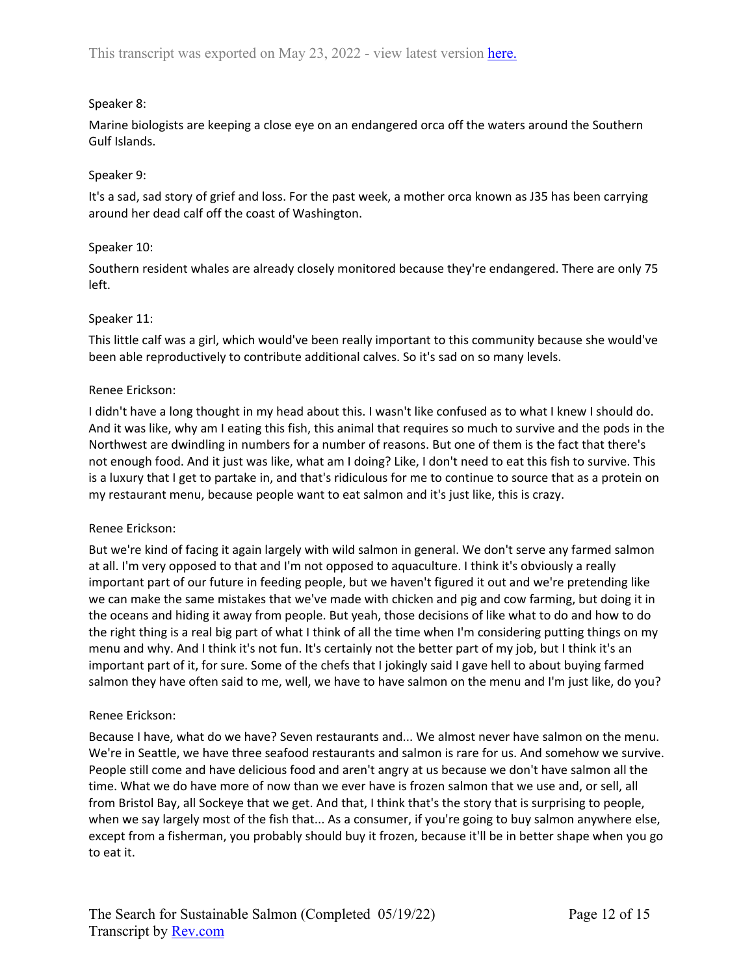# Speaker 8:

Marine biologists are keeping a close eye on an endangered orca off the waters around the Southern Gulf Islands.

# Speaker 9:

It's a sad, sad story of grief and loss. For the past week, a mother orca known as J35 has been carrying around her dead calf off the coast of Washington.

# Speaker 10:

Southern resident whales are already closely monitored because they're endangered. There are only 75 left.

# Speaker 11:

This little calf was a girl, which would've been really important to this community because she would've been able reproductively to contribute additional calves. So it's sad on so many levels.

# Renee Erickson:

I didn't have a long thought in my head about this. I wasn't like confused as to what I knew I should do. And it was like, why am I eating this fish, this animal that requires so much to survive and the pods in the Northwest are dwindling in numbers for a number of reasons. But one of them is the fact that there's not enough food. And it just was like, what am I doing? Like, I don't need to eat this fish to survive. This is a luxury that I get to partake in, and that's ridiculous for me to continue to source that as a protein on my restaurant menu, because people want to eat salmon and it's just like, this is crazy.

# Renee Erickson:

But we're kind of facing it again largely with wild salmon in general. We don't serve any farmed salmon at all. I'm very opposed to that and I'm not opposed to aquaculture. I think it's obviously a really important part of our future in feeding people, but we haven't figured it out and we're pretending like we can make the same mistakes that we've made with chicken and pig and cow farming, but doing it in the oceans and hiding it away from people. But yeah, those decisions of like what to do and how to do the right thing is a real big part of what I think of all the time when I'm considering putting things on my menu and why. And I think it's not fun. It's certainly not the better part of my job, but I think it's an important part of it, for sure. Some of the chefs that I jokingly said I gave hell to about buying farmed salmon they have often said to me, well, we have to have salmon on the menu and I'm just like, do you?

# Renee Erickson:

Because I have, what do we have? Seven restaurants and... We almost never have salmon on the menu. We're in Seattle, we have three seafood restaurants and salmon is rare for us. And somehow we survive. People still come and have delicious food and aren't angry at us because we don't have salmon all the time. What we do have more of now than we ever have is frozen salmon that we use and, or sell, all from Bristol Bay, all Sockeye that we get. And that, I think that's the story that is surprising to people, when we say largely most of the fish that... As a consumer, if you're going to buy salmon anywhere else, except from a fisherman, you probably should buy it frozen, because it'll be in better shape when you go to eat it.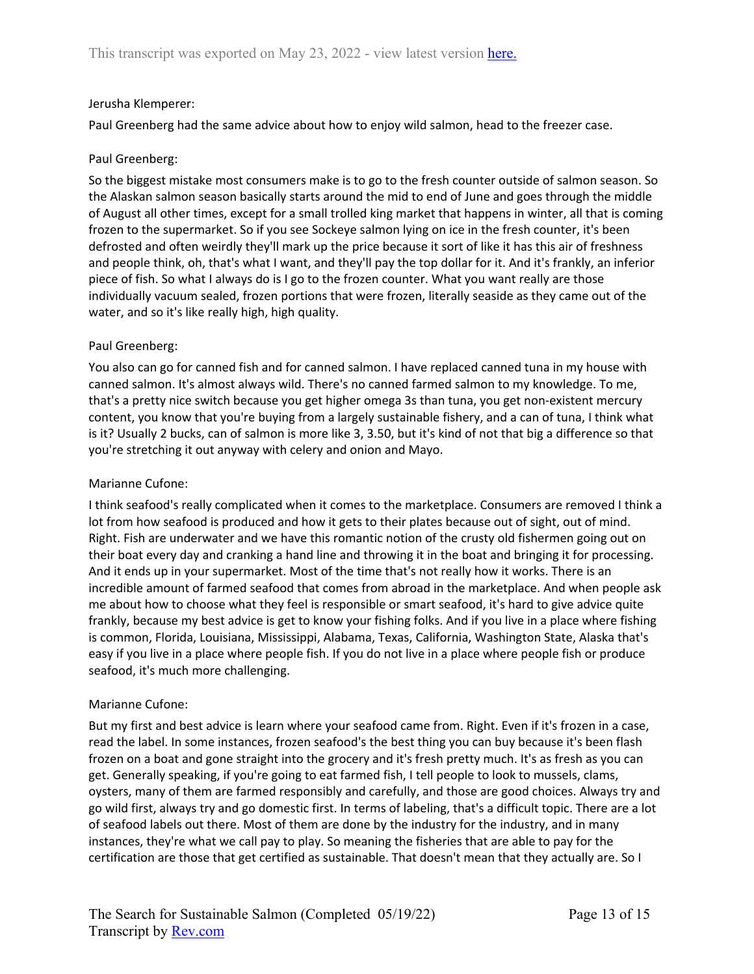### Jerusha Klemperer:

Paul Greenberg had the same advice about how to enjoy wild salmon, head to the freezer case.

### Paul Greenberg:

So the biggest mistake most consumers make is to go to the fresh counter outside of salmon season. So the Alaskan salmon season basically starts around the mid to end of June and goes through the middle of August all other times, except for a small trolled king market that happens in winter, all that is coming frozen to the supermarket. So if you see Sockeye salmon lying on ice in the fresh counter, it's been defrosted and often weirdly they'll mark up the price because it sort of like it has this air of freshness and people think, oh, that's what I want, and they'll pay the top dollar for it. And it's frankly, an inferior piece of fish. So what I always do is I go to the frozen counter. What you want really are those individually vacuum sealed, frozen portions that were frozen, literally seaside as they came out of the water, and so it's like really high, high quality.

# Paul Greenberg:

You also can go for canned fish and for canned salmon. I have replaced canned tuna in my house with canned salmon. It's almost always wild. There's no canned farmed salmon to my knowledge. To me, that's a pretty nice switch because you get higher omega 3s than tuna, you get non-existent mercury content, you know that you're buying from a largely sustainable fishery, and a can of tuna, I think what is it? Usually 2 bucks, can of salmon is more like 3, 3.50, but it's kind of not that big a difference so that you're stretching it out anyway with celery and onion and Mayo.

### Marianne Cufone:

I think seafood's really complicated when it comes to the marketplace. Consumers are removed I think a lot from how seafood is produced and how it gets to their plates because out of sight, out of mind. Right. Fish are underwater and we have this romantic notion of the crusty old fishermen going out on their boat every day and cranking a hand line and throwing it in the boat and bringing it for processing. And it ends up in your supermarket. Most of the time that's not really how it works. There is an incredible amount of farmed seafood that comes from abroad in the marketplace. And when people ask me about how to choose what they feel is responsible or smart seafood, it's hard to give advice quite frankly, because my best advice is get to know your fishing folks. And if you live in a place where fishing is common, Florida, Louisiana, Mississippi, Alabama, Texas, California, Washington State, Alaska that's easy if you live in a place where people fish. If you do not live in a place where people fish or produce seafood, it's much more challenging.

# Marianne Cufone:

But my first and best advice is learn where your seafood came from. Right. Even if it's frozen in a case, read the label. In some instances, frozen seafood's the best thing you can buy because it's been flash frozen on a boat and gone straight into the grocery and it's fresh pretty much. It's as fresh as you can get. Generally speaking, if you're going to eat farmed fish, I tell people to look to mussels, clams, oysters, many of them are farmed responsibly and carefully, and those are good choices. Always try and go wild first, always try and go domestic first. In terms of labeling, that's a difficult topic. There are a lot of seafood labels out there. Most of them are done by the industry for the industry, and in many instances, they're what we call pay to play. So meaning the fisheries that are able to pay for the certification are those that get certified as sustainable. That doesn't mean that they actually are. So I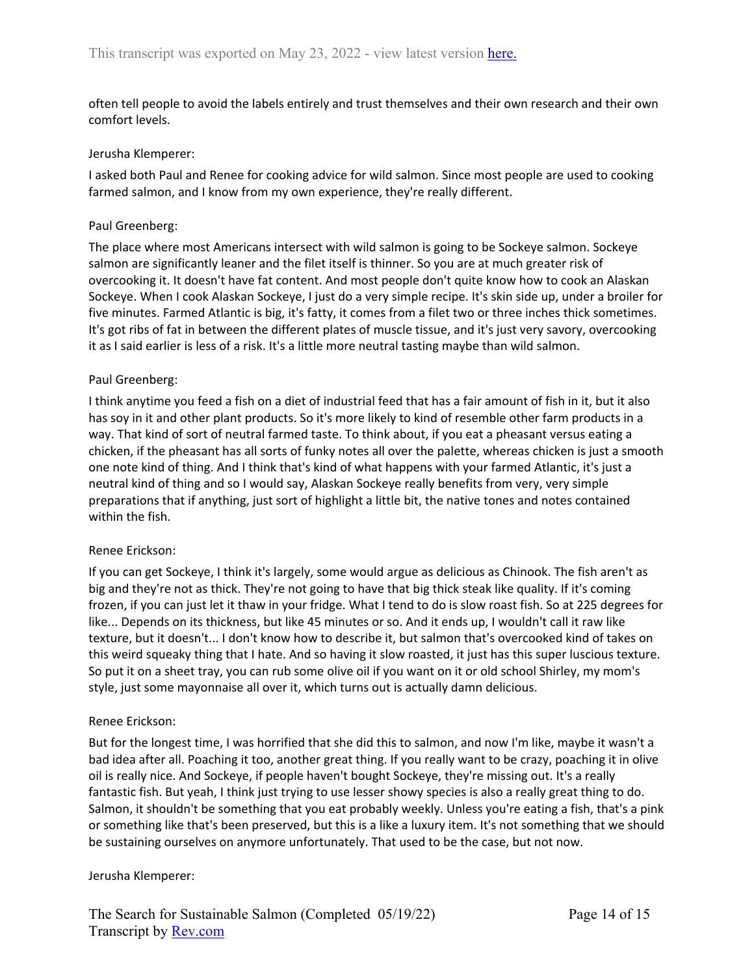often tell people to avoid the labels entirely and trust themselves and their own research and their own comfort levels.

#### Jerusha Klemperer:

I asked both Paul and Renee for cooking advice for wild salmon. Since most people are used to cooking farmed salmon, and I know from my own experience, they're really different.

#### Paul Greenberg:

The place where most Americans intersect with wild salmon is going to be Sockeye salmon. Sockeye salmon are significantly leaner and the filet itself is thinner. So you are at much greater risk of overcooking it. It doesn't have fat content. And most people don't quite know how to cook an Alaskan Sockeye. When I cook Alaskan Sockeye, I just do a very simple recipe. It's skin side up, under a broiler for five minutes. Farmed Atlantic is big, it's fatty, it comes from a filet two or three inches thick sometimes. It's got ribs of fat in between the different plates of muscle tissue, and it's just very savory, overcooking it as I said earlier is less of a risk. It's a little more neutral tasting maybe than wild salmon.

#### Paul Greenberg:

I think anytime you feed a fish on a diet of industrial feed that has a fair amount of fish in it, but it also has soy in it and other plant products. So it's more likely to kind of resemble other farm products in a way. That kind of sort of neutral farmed taste. To think about, if you eat a pheasant versus eating a chicken, if the pheasant has all sorts of funky notes all over the palette, whereas chicken is just a smooth one note kind of thing. And I think that's kind of what happens with your farmed Atlantic, it's just a neutral kind of thing and so I would say, Alaskan Sockeye really benefits from very, very simple preparations that if anything, just sort of highlight a little bit, the native tones and notes contained within the fish.

### Renee Erickson:

If you can get Sockeye, I think it's largely, some would argue as delicious as Chinook. The fish aren't as big and they're not as thick. They're not going to have that big thick steak like quality. If it's coming frozen, if you can just let it thaw in your fridge. What I tend to do is slow roast fish. So at 225 degrees for like... Depends on its thickness, but like 45 minutes or so. And it ends up, I wouldn't call it raw like texture, but it doesn't... I don't know how to describe it, but salmon that's overcooked kind of takes on this weird squeaky thing that I hate. And so having it slow roasted, it just has this super luscious texture. So put it on a sheet tray, you can rub some olive oil if you want on it or old school Shirley, my mom's style, just some mayonnaise all over it, which turns out is actually damn delicious.

#### Renee Erickson:

But for the longest time, I was horrified that she did this to salmon, and now I'm like, maybe it wasn't a bad idea after all. Poaching it too, another great thing. If you really want to be crazy, poaching it in olive oil is really nice. And Sockeye, if people haven't bought Sockeye, they're missing out. It's a really fantastic fish. But yeah, I think just trying to use lesser showy species is also a really great thing to do. Salmon, it shouldn't be something that you eat probably weekly. Unless you're eating a fish, that's a pink or something like that's been preserved, but this is a like a luxury item. It's not something that we should be sustaining ourselves on anymore unfortunately. That used to be the case, but not now.

#### Jerusha Klemperer: